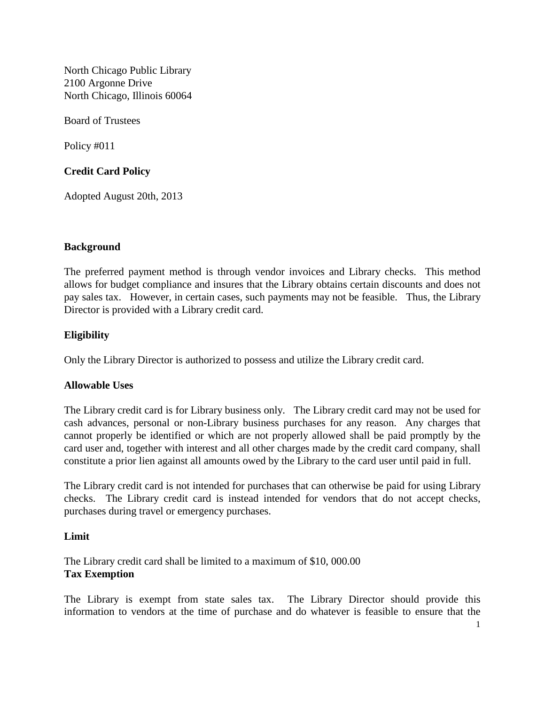North Chicago Public Library 2100 Argonne Drive North Chicago, Illinois 60064

Board of Trustees

Policy #011

# **Credit Card Policy**

Adopted August 20th, 2013

### **Background**

The preferred payment method is through vendor invoices and Library checks. This method allows for budget compliance and insures that the Library obtains certain discounts and does not pay sales tax. However, in certain cases, such payments may not be feasible. Thus, the Library Director is provided with a Library credit card.

## **Eligibility**

Only the Library Director is authorized to possess and utilize the Library credit card.

### **Allowable Uses**

The Library credit card is for Library business only. The Library credit card may not be used for cash advances, personal or non-Library business purchases for any reason. Any charges that cannot properly be identified or which are not properly allowed shall be paid promptly by the card user and, together with interest and all other charges made by the credit card company, shall constitute a prior lien against all amounts owed by the Library to the card user until paid in full.

The Library credit card is not intended for purchases that can otherwise be paid for using Library checks. The Library credit card is instead intended for vendors that do not accept checks, purchases during travel or emergency purchases.

### **Limit**

The Library credit card shall be limited to a maximum of \$10, 000.00 **Tax Exemption**

The Library is exempt from state sales tax. The Library Director should provide this information to vendors at the time of purchase and do whatever is feasible to ensure that the